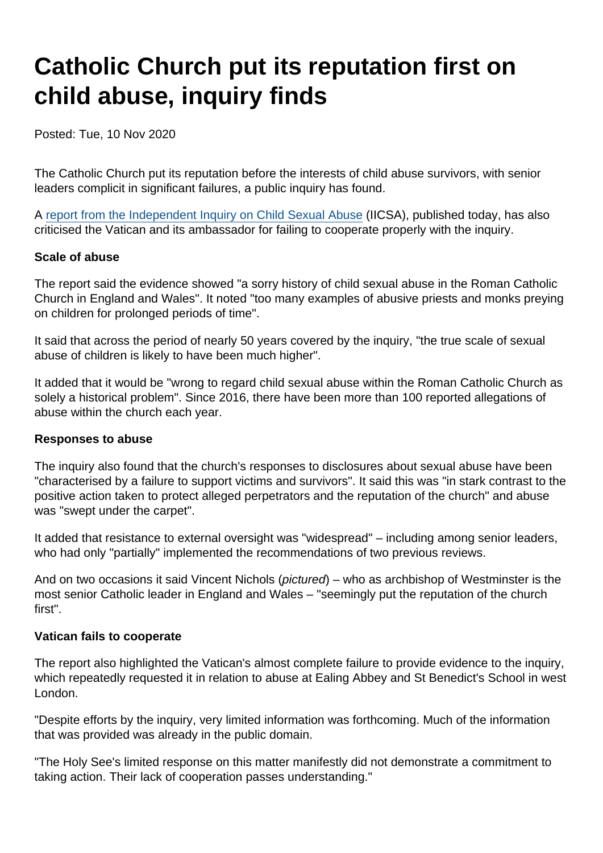# Catholic Church put its reputation first on child abuse, inquiry finds

Posted: Tue, 10 Nov 2020

The Catholic Church put its reputation before the interests of child abuse survivors, with senior leaders complicit in significant failures, a public inquiry has found.

A [report from the Independent Inquiry on Child Sexual Abuse](https://www.iicsa.org.uk/news/inquiry-finds-catholic-church-prioritised-reputation-over-welfare-children) (IICSA), published today, has also criticised the Vatican and its ambassador for failing to cooperate properly with the inquiry.

#### Scale of abuse

The report said the evidence showed "a sorry history of child sexual abuse in the Roman Catholic Church in England and Wales". It noted "too many examples of abusive priests and monks preying on children for prolonged periods of time".

It said that across the period of nearly 50 years covered by the inquiry, "the true scale of sexual abuse of children is likely to have been much higher".

It added that it would be "wrong to regard child sexual abuse within the Roman Catholic Church as solely a historical problem". Since 2016, there have been more than 100 reported allegations of abuse within the church each year.

#### Responses to abuse

The inquiry also found that the church's responses to disclosures about sexual abuse have been "characterised by a failure to support victims and survivors". It said this was "in stark contrast to the positive action taken to protect alleged perpetrators and the reputation of the church" and abuse was "swept under the carpet".

It added that resistance to external oversight was "widespread" – including among senior leaders, who had only "partially" implemented the recommendations of two previous reviews.

And on two occasions it said Vincent Nichols (pictured) – who as archbishop of Westminster is the most senior Catholic leader in England and Wales – "seemingly put the reputation of the church first".

#### Vatican fails to cooperate

The report also highlighted the Vatican's almost complete failure to provide evidence to the inquiry, which repeatedly requested it in relation to abuse at Ealing Abbey and St Benedict's School in west London.

"Despite efforts by the inquiry, very limited information was forthcoming. Much of the information that was provided was already in the public domain.

"The Holy See's limited response on this matter manifestly did not demonstrate a commitment to taking action. Their lack of cooperation passes understanding."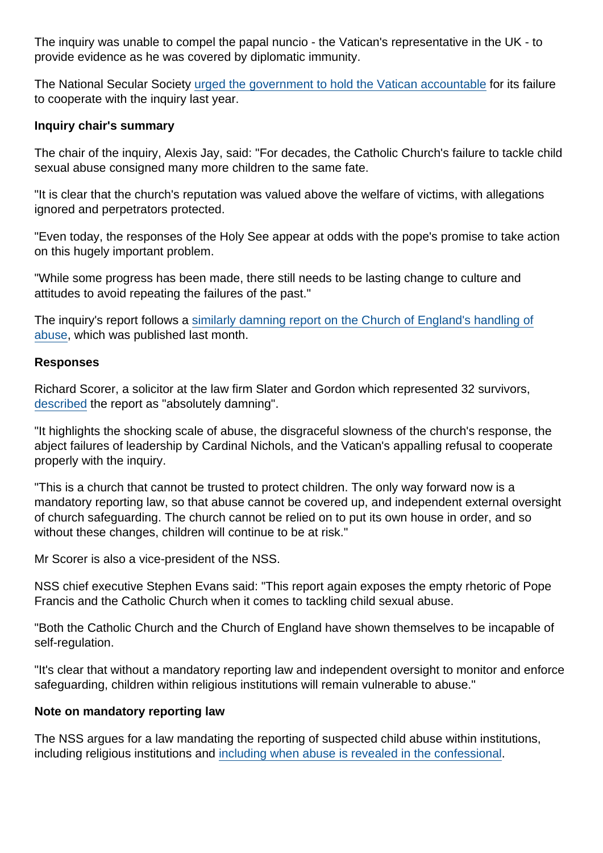The inquiry was unable to compel the papal nuncio - the Vatican's representative in the UK - to provide evidence as he was covered by diplomatic immunity.

The National Secular Society [urged the government to hold the Vatican accountable](https://www.secularism.org.uk/news/2019/09/nss-raises-vaticans-defiance-of-abuse-inquiry-with-foreign-office) for its failure to cooperate with the inquiry last year.

Inquiry chair's summary

The chair of the inquiry, Alexis Jay, said: "For decades, the Catholic Church's failure to tackle child sexual abuse consigned many more children to the same fate.

"It is clear that the church's reputation was valued above the welfare of victims, with allegations ignored and perpetrators protected.

"Even today, the responses of the Holy See appear at odds with the pope's promise to take action on this hugely important problem.

"While some progress has been made, there still needs to be lasting change to culture and attitudes to avoid repeating the failures of the past."

The inquiry's report follows a [similarly damning report on the Church of England's handling of](https://www.secularism.org.uk/news/2020/10/coe-put-its-reputation-before-child-protection-abuse-inquiry-finds) [abuse,](https://www.secularism.org.uk/news/2020/10/coe-put-its-reputation-before-child-protection-abuse-inquiry-finds) which was published last month.

#### Responses

Richard Scorer, a solicitor at the law firm Slater and Gordon which represented 32 survivors, [described](https://www.theguardian.com/world/2020/nov/10/child-sexual-abuse-in-catholic-church-swept-under-the-carpet-inquiry-finds) the report as "absolutely damning".

"It highlights the shocking scale of abuse, the disgraceful slowness of the church's response, the abject failures of leadership by Cardinal Nichols, and the Vatican's appalling refusal to cooperate properly with the inquiry.

"This is a church that cannot be trusted to protect children. The only way forward now is a mandatory reporting law, so that abuse cannot be covered up, and independent external oversight of church safeguarding. The church cannot be relied on to put its own house in order, and so without these changes, children will continue to be at risk."

Mr Scorer is also a vice-president of the NSS.

NSS chief executive Stephen Evans said: "This report again exposes the empty rhetoric of Pope Francis and the Catholic Church when it comes to tackling child sexual abuse.

"Both the Catholic Church and the Church of England have shown themselves to be incapable of self-regulation.

"It's clear that without a mandatory reporting law and independent oversight to monitor and enforce safeguarding, children within religious institutions will remain vulnerable to abuse."

Note on mandatory reporting law

The NSS argues for a law mandating the reporting of suspected child abuse within institutions, including religious institutions and [including when abuse is revealed in the confessional.](https://www.secularism.org.uk/opinion/2018/06/the-seal-of-the-confessional-and-child-abuse-a-religious-privilege-too-far)